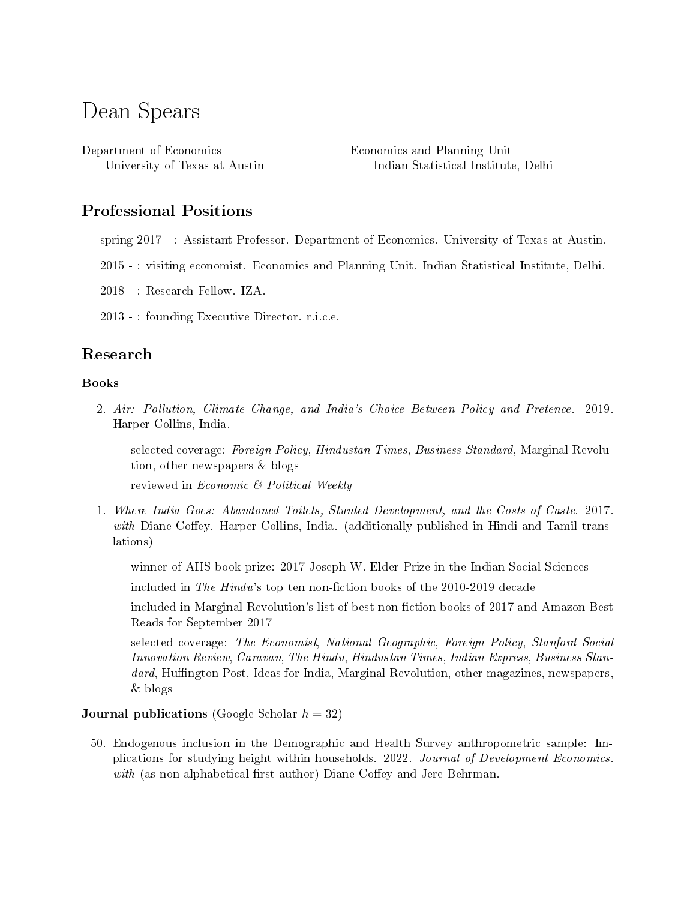# Dean Spears

Department of Economics University of Texas at Austin Economics and Planning Unit Indian Statistical Institute, Delhi

# Professional Positions

- spring 2017 : Assistant Professor. Department of Economics. University of Texas at Austin.
- 2015 : visiting economist. Economics and Planning Unit. Indian Statistical Institute, Delhi.
- 2018 : Research Fellow. IZA.
- 2013 : founding Executive Director. r.i.c.e.

# Research

#### Books

2. Air: Pollution, Climate Change, and India's Choice Between Policy and Pretence. 2019. Harper Collins, India.

selected coverage: Foreign Policy, Hindustan Times, Business Standard, Marginal Revolution, other newspapers & blogs

reviewed in Economic  $\mathcal C$  Political Weekly

1. Where India Goes: Abandoned Toilets, Stunted Development, and the Costs of Caste. 2017. with Diane Coffey. Harper Collins, India. (additionally published in Hindi and Tamil translations)

winner of AIIS book prize: 2017 Joseph W. Elder Prize in the Indian Social Sciences

included in The Hindu's top ten non-fiction books of the  $2010$ - $2019$  decade

included in Marginal Revolution's list of best non-fiction books of 2017 and Amazon Best Reads for September 2017

selected coverage: The Economist, National Geographic, Foreign Policy, Stanford Social Innovation Review, Caravan, The Hindu, Hindustan Times, Indian Express, Business Standard, Huffington Post, Ideas for India, Marginal Revolution, other magazines, newspapers, & blogs

#### **Journal publications** (Google Scholar  $h = 32$ )

50. Endogenous inclusion in the Demographic and Health Survey anthropometric sample: Implications for studying height within households. 2022. Journal of Development Economics. with (as non-alphabetical first author) Diane Coffey and Jere Behrman.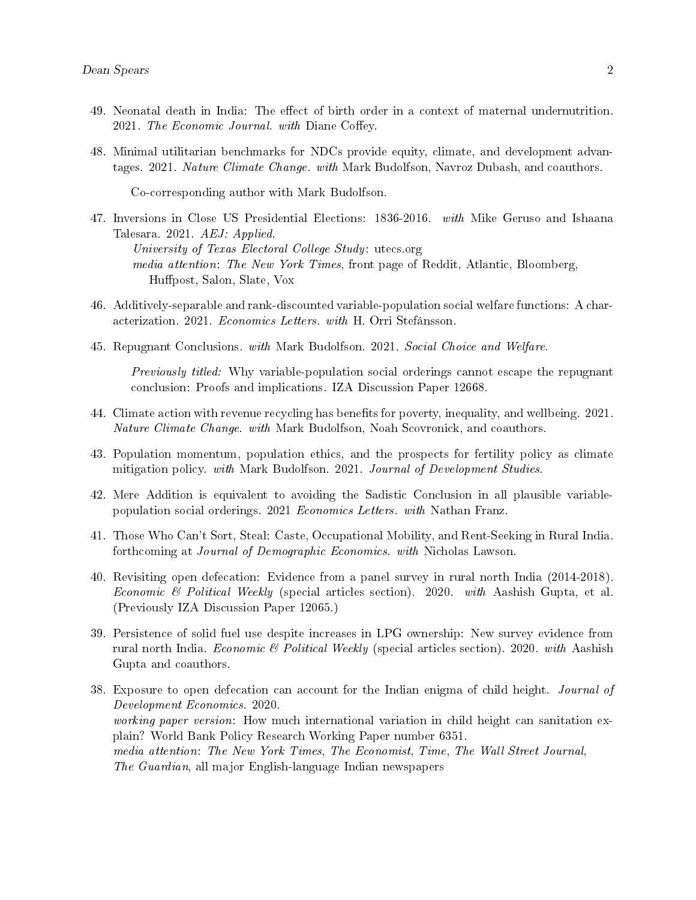- 49. Neonatal death in India: The effect of birth order in a context of maternal undernutrition. 2021. The Economic Journal. with Diane Coffey.
- 48. Minimal utilitarian benchmarks for NDCs provide equity, climate, and development advantages. 2021. Nature Climate Change. with Mark Budolfson, Navroz Dubash, and coauthors.

Co-corresponding author with Mark Budolfson.

- 47. Inversions in Close US Presidential Elections: 1836-2016. with Mike Geruso and Ishaana Talesara. 2021. AEJ: Applied. University of Texas Electoral College Study: utecs.org media attention: The New York Times, front page of Reddit, Atlantic, Bloomberg, Hupost, Salon, Slate, Vox
- 46. Additively-separable and rank-discounted variable-population social welfare functions: A characterization. 2021. Economics Letters. with H. Orri Stefánsson.
- 45. Repugnant Conclusions. with Mark Budolfson. 2021. Social Choice and Welfare.

Previously titled: Why variable-population social orderings cannot escape the repugnant conclusion: Proofs and implications. IZA Discussion Paper 12668.

- 44. Climate action with revenue recycling has benets for poverty, inequality, and wellbeing. 2021. Nature Climate Change. with Mark Budolfson, Noah Scovronick, and coauthors.
- 43. Population momentum, population ethics, and the prospects for fertility policy as climate mitigation policy. with Mark Budolfson. 2021. Journal of Development Studies.
- 42. Mere Addition is equivalent to avoiding the Sadistic Conclusion in all plausible variablepopulation social orderings. 2021 Economics Letters. with Nathan Franz.
- 41. Those Who Can't Sort, Steal: Caste, Occupational Mobility, and Rent-Seeking in Rural India. forthcoming at Journal of Demographic Economics. with Nicholas Lawson.
- 40. Revisiting open defecation: Evidence from a panel survey in rural north India (2014-2018). Economic & Political Weekly (special articles section). 2020. with Aashish Gupta, et al. (Previously IZA Discussion Paper 12065.)
- 39. Persistence of solid fuel use despite increases in LPG ownership: New survey evidence from rural north India. Economic & Political Weekly (special articles section). 2020. with Aashish Gupta and coauthors.
- 38. Exposure to open defecation can account for the Indian enigma of child height. *Journal of* Development Economics. 2020. working paper version: How much international variation in child height can sanitation explain? World Bank Policy Research Working Paper number 6351. media attention: The New York Times, The Economist, Time, The Wall Street Journal, The Guardian, all major English-language Indian newspapers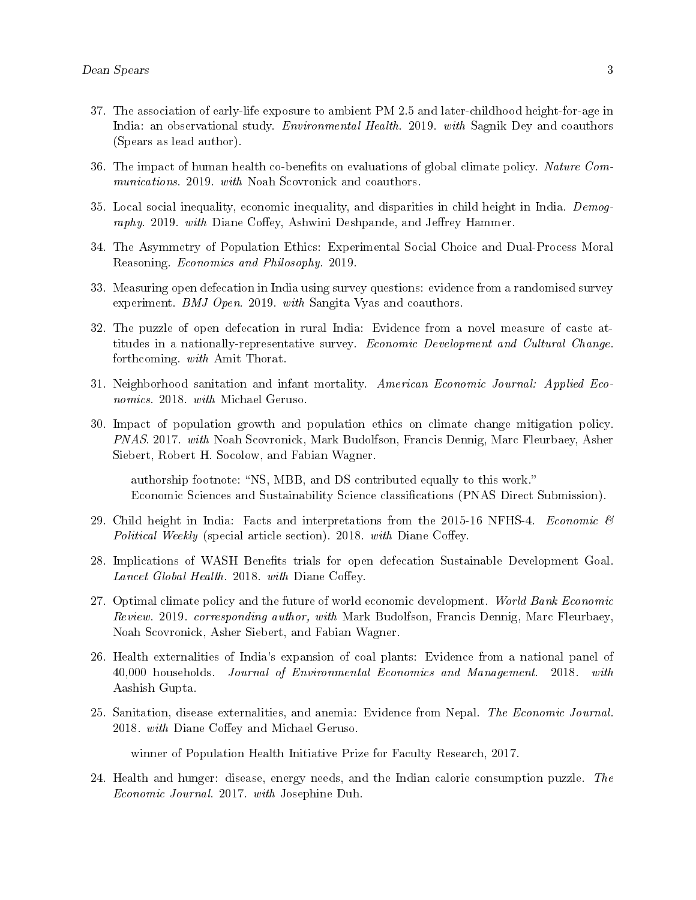- 37. The association of early-life exposure to ambient PM 2.5 and later-childhood height-for-age in India: an observational study. Environmental Health. 2019. with Sagnik Dey and coauthors (Spears as lead author).
- 36. The impact of human health co-benefits on evaluations of global climate policy. Nature Communications. 2019. with Noah Scovronick and coauthors.
- 35. Local social inequality, economic inequality, and disparities in child height in India. Demography. 2019. with Diane Coffey, Ashwini Deshpande, and Jeffrey Hammer.
- 34. The Asymmetry of Population Ethics: Experimental Social Choice and Dual-Process Moral Reasoning. Economics and Philosophy. 2019.
- 33. Measuring open defecation in India using survey questions: evidence from a randomised survey experiment. BMJ Open. 2019. with Sangita Vyas and coauthors.
- 32. The puzzle of open defecation in rural India: Evidence from a novel measure of caste attitudes in a nationally-representative survey. Economic Development and Cultural Change. forthcoming. with Amit Thorat.
- 31. Neighborhood sanitation and infant mortality. American Economic Journal: Applied Economics. 2018. with Michael Geruso.
- 30. Impact of population growth and population ethics on climate change mitigation policy. PNAS. 2017. with Noah Scovronick, Mark Budolfson, Francis Dennig, Marc Fleurbaey, Asher Siebert, Robert H. Socolow, and Fabian Wagner.

authorship footnote: "NS, MBB, and DS contributed equally to this work." Economic Sciences and Sustainability Science classifications (PNAS Direct Submission).

- 29. Child height in India: Facts and interpretations from the 2015-16 NFHS-4. Economic  $\mathscr$ Political Weekly (special article section). 2018. with Diane Coffey.
- 28. Implications of WASH Benefits trials for open defecation Sustainable Development Goal. Lancet Global Health. 2018. with Diane Coffey.
- 27. Optimal climate policy and the future of world economic development. World Bank Economic Review. 2019. corresponding author, with Mark Budolfson, Francis Dennig, Marc Fleurbaey, Noah Scovronick, Asher Siebert, and Fabian Wagner.
- 26. Health externalities of India's expansion of coal plants: Evidence from a national panel of 40,000 households. Journal of Environmental Economics and Management. 2018. with Aashish Gupta.
- 25. Sanitation, disease externalities, and anemia: Evidence from Nepal. The Economic Journal. 2018. with Diane Coffey and Michael Geruso.

winner of Population Health Initiative Prize for Faculty Research, 2017.

24. Health and hunger: disease, energy needs, and the Indian calorie consumption puzzle. The Economic Journal. 2017. with Josephine Duh.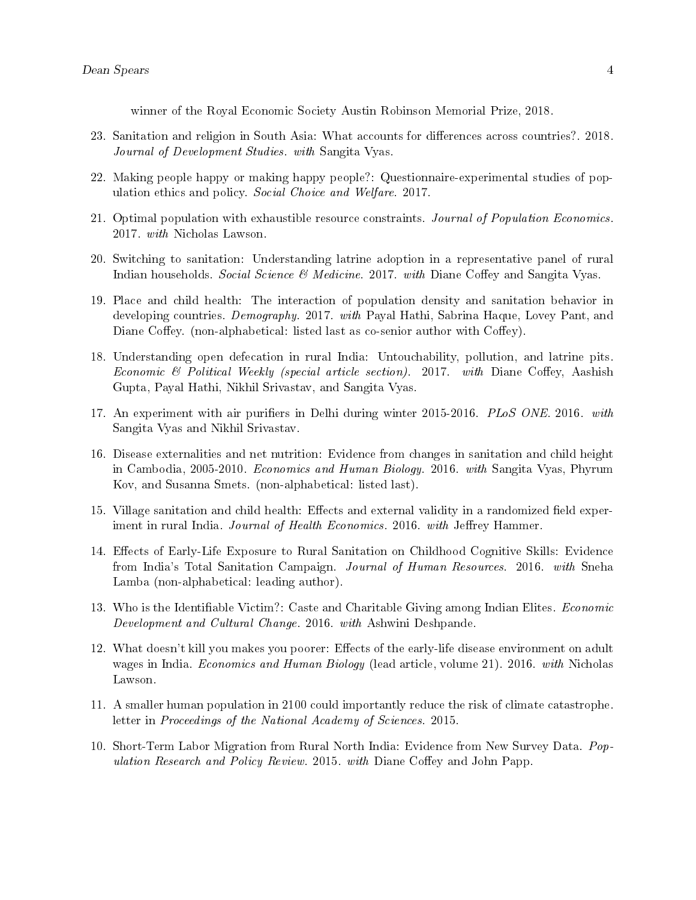winner of the Royal Economic Society Austin Robinson Memorial Prize, 2018.

- 23. Sanitation and religion in South Asia: What accounts for differences across countries?. 2018. Journal of Development Studies. with Sangita Vyas.
- 22. Making people happy or making happy people?: Questionnaire-experimental studies of population ethics and policy. Social Choice and Welfare. 2017.
- 21. Optimal population with exhaustible resource constraints. Journal of Population Economics. 2017. with Nicholas Lawson.
- 20. Switching to sanitation: Understanding latrine adoption in a representative panel of rural Indian households. Social Science  $\mathcal{C}$  Medicine. 2017. with Diane Coffey and Sangita Vyas.
- 19. Place and child health: The interaction of population density and sanitation behavior in developing countries. *Demography.* 2017. with Payal Hathi, Sabrina Haque, Lovey Pant, and Diane Coffey. (non-alphabetical: listed last as co-senior author with Coffey).
- 18. Understanding open defecation in rural India: Untouchability, pollution, and latrine pits. Economic & Political Weekly (special article section). 2017. with Diane Coffey, Aashish Gupta, Payal Hathi, Nikhil Srivastav, and Sangita Vyas.
- 17. An experiment with air purifiers in Delhi during winter 2015-2016. PLoS ONE. 2016. with Sangita Vyas and Nikhil Srivastav.
- 16. Disease externalities and net nutrition: Evidence from changes in sanitation and child height in Cambodia, 2005-2010. Economics and Human Biology. 2016. with Sangita Vyas, Phyrum Kov, and Susanna Smets. (non-alphabetical: listed last).
- 15. Village sanitation and child health: Effects and external validity in a randomized field experiment in rural India. Journal of Health Economics. 2016. with Jeffrey Hammer.
- 14. Effects of Early-Life Exposure to Rural Sanitation on Childhood Cognitive Skills: Evidence from India's Total Sanitation Campaign. Journal of Human Resources. 2016. with Sneha Lamba (non-alphabetical: leading author).
- 13. Who is the Identiable Victim?: Caste and Charitable Giving among Indian Elites. Economic Development and Cultural Change. 2016. with Ashwini Deshpande.
- 12. What doesn't kill you makes you poorer: Effects of the early-life disease environment on adult wages in India. Economics and Human Biology (lead article, volume 21). 2016. with Nicholas Lawson.
- 11. A smaller human population in 2100 could importantly reduce the risk of climate catastrophe. letter in Proceedings of the National Academy of Sciences. 2015.
- 10. Short-Term Labor Migration from Rural North India: Evidence from New Survey Data. Population Research and Policy Review. 2015. with Diane Coffey and John Papp.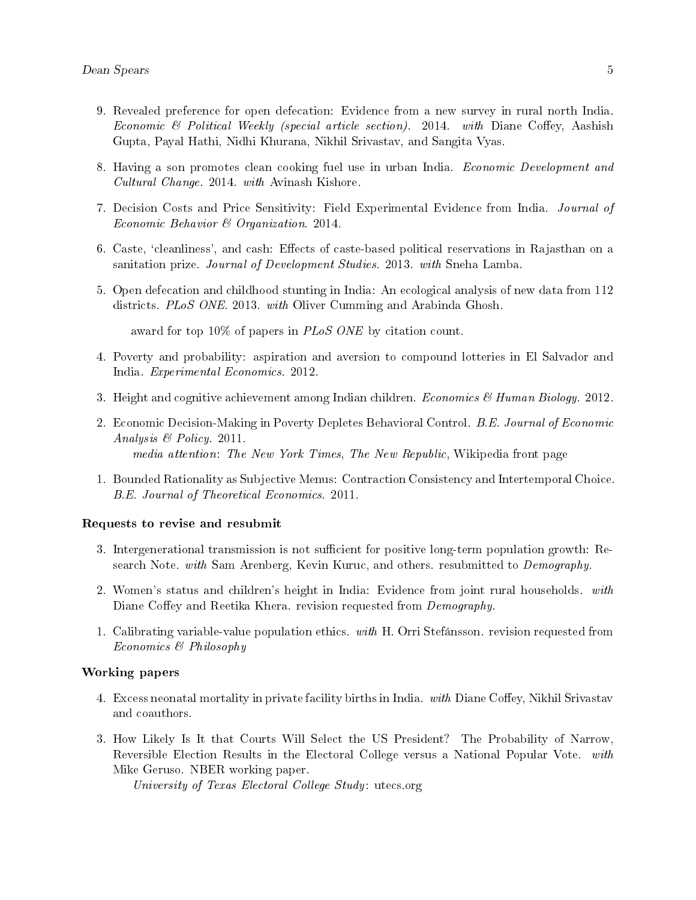- 9. Revealed preference for open defecation: Evidence from a new survey in rural north India. Economic & Political Weekly (special article section). 2014. with Diane Coffey, Aashish Gupta, Payal Hathi, Nidhi Khurana, Nikhil Srivastav, and Sangita Vyas.
- 8. Having a son promotes clean cooking fuel use in urban India. *Economic Development and* Cultural Change. 2014. with Avinash Kishore.
- 7. Decision Costs and Price Sensitivity: Field Experimental Evidence from India. Journal of Economic Behavior & Organization. 2014.
- 6. Caste, 'cleanliness', and cash: Effects of caste-based political reservations in Rajasthan on a sanitation prize. Journal of Development Studies. 2013. with Sneha Lamba.
- 5. Open defecation and childhood stunting in India: An ecological analysis of new data from 112 districts. PLoS ONE. 2013. with Oliver Cumming and Arabinda Ghosh.

award for top 10% of papers in *PLoS ONE* by citation count.

- 4. Poverty and probability: aspiration and aversion to compound lotteries in El Salvador and India. Experimental Economics. 2012.
- 3. Height and cognitive achievement among Indian children. *Economics & Human Biology.* 2012.
- 2. Economic Decision-Making in Poverty Depletes Behavioral Control. B.E. Journal of Economic Analysis & Policy. 2011. media attention: The New York Times, The New Republic, Wikipedia front page
- 1. Bounded Rationality as Subjective Menus: Contraction Consistency and Intertemporal Choice. B.E. Journal of Theoretical Economics. 2011.

#### Requests to revise and resubmit

- 3. Intergenerational transmission is not sufficient for positive long-term population growth: Research Note. with Sam Arenberg, Kevin Kuruc, and others. resubmitted to Demography.
- 2. Women's status and children's height in India: Evidence from joint rural households. with Diane Coffey and Reetika Khera. revision requested from *Demography*.
- 1. Calibrating variable-value population ethics. with H. Orri Stefánsson. revision requested from Economics & Philosophy

#### Working papers

- 4. Excess neonatal mortality in private facility births in India. with Diane Coffey, Nikhil Srivastav and coauthors.
- 3. How Likely Is It that Courts Will Select the US President? The Probability of Narrow, Reversible Election Results in the Electoral College versus a National Popular Vote. with Mike Geruso. NBER working paper.

University of Texas Electoral College Study: utecs.org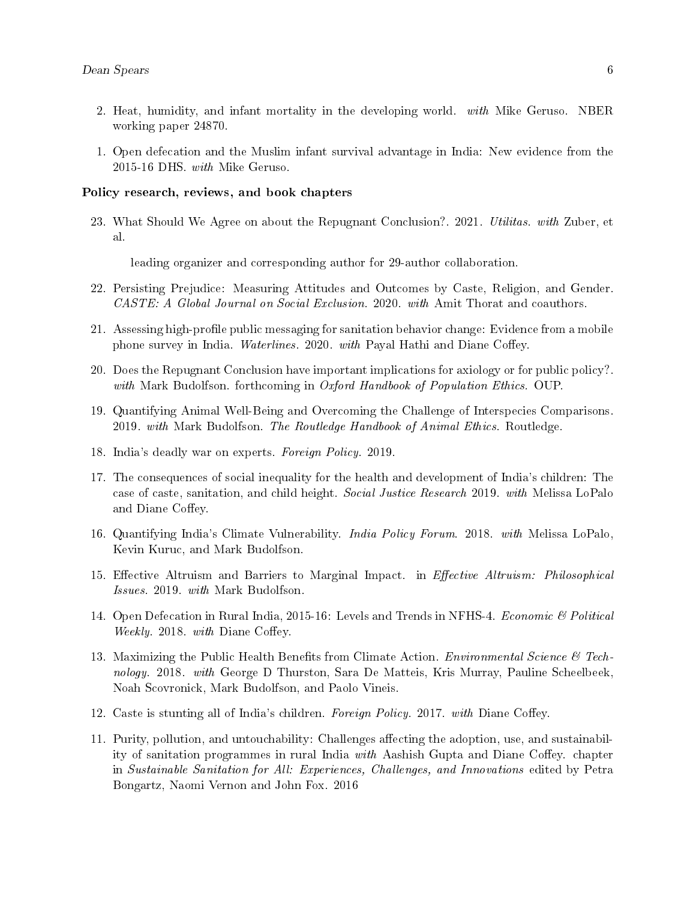- 2. Heat, humidity, and infant mortality in the developing world. with Mike Geruso. NBER working paper 24870.
- 1. Open defecation and the Muslim infant survival advantage in India: New evidence from the 2015-16 DHS. with Mike Geruso.

#### Policy research, reviews, and book chapters

23. What Should We Agree on about the Repugnant Conclusion?. 2021. Utilitas. with Zuber, et al.

leading organizer and corresponding author for 29-author collaboration.

- 22. Persisting Prejudice: Measuring Attitudes and Outcomes by Caste, Religion, and Gender. CASTE: A Global Journal on Social Exclusion. 2020. with Amit Thorat and coauthors.
- 21. Assessing high-profile public messaging for sanitation behavior change: Evidence from a mobile phone survey in India. Waterlines. 2020. with Payal Hathi and Diane Coffey.
- 20. Does the Repugnant Conclusion have important implications for axiology or for public policy?. with Mark Budolfson. forthcoming in Oxford Handbook of Population Ethics. OUP.
- 19. Quantifying Animal Well-Being and Overcoming the Challenge of Interspecies Comparisons. 2019. with Mark Budolfson. The Routledge Handbook of Animal Ethics. Routledge.
- 18. India's deadly war on experts. Foreign Policy. 2019.
- 17. The consequences of social inequality for the health and development of India's children: The case of caste, sanitation, and child height. Social Justice Research 2019. with Melissa LoPalo and Diane Coffey.
- 16. Quantifying India's Climate Vulnerability. India Policy Forum. 2018. with Melissa LoPalo, Kevin Kuruc, and Mark Budolfson.
- 15. Effective Altruism and Barriers to Marginal Impact. in *Effective Altruism: Philosophical* Issues. 2019. with Mark Budolfson.
- 14. Open Defecation in Rural India, 2015-16: Levels and Trends in NFHS-4. *Economic & Political* Weekly. 2018. with Diane Coffey.
- 13. Maximizing the Public Health Benefits from Climate Action. *Environmental Science*  $\mathscr{C}$  Technology. 2018. with George D Thurston, Sara De Matteis, Kris Murray, Pauline Scheelbeek, Noah Scovronick, Mark Budolfson, and Paolo Vineis.
- 12. Caste is stunting all of India's children. Foreign Policy. 2017. with Diane Coffey.
- 11. Purity, pollution, and untouchability: Challenges affecting the adoption, use, and sustainability of sanitation programmes in rural India with Aashish Gupta and Diane Coffey. chapter in Sustainable Sanitation for All: Experiences, Challenges, and Innovations edited by Petra Bongartz, Naomi Vernon and John Fox. 2016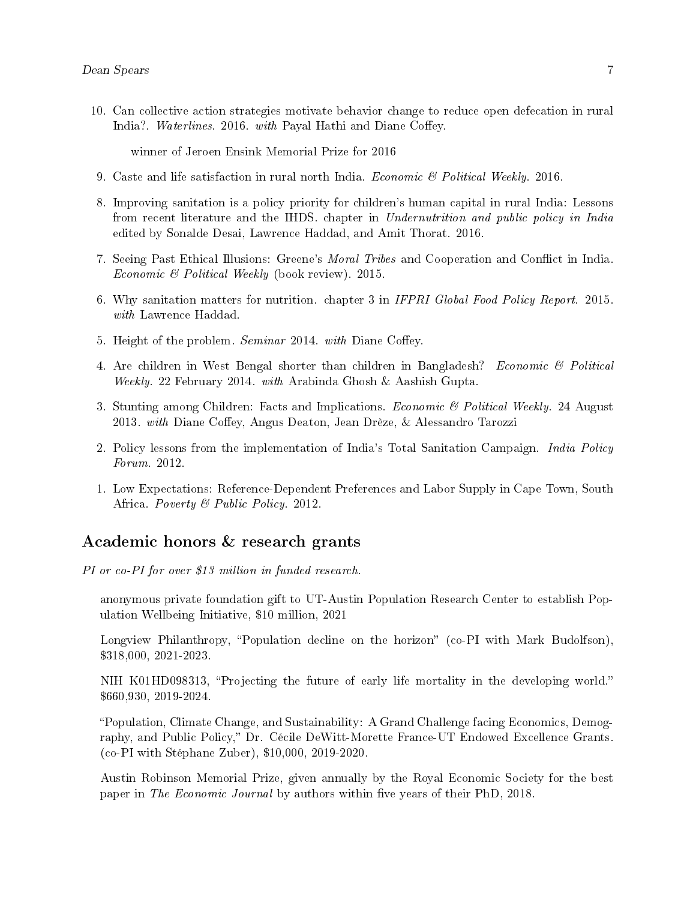10. Can collective action strategies motivate behavior change to reduce open defecation in rural India?. Waterlines. 2016. with Payal Hathi and Diane Coffey.

winner of Jeroen Ensink Memorial Prize for 2016

- 9. Caste and life satisfaction in rural north India. *Economic & Political Weekly.* 2016.
- 8. Improving sanitation is a policy priority for children's human capital in rural India: Lessons from recent literature and the IHDS. chapter in Undernutrition and public policy in India edited by Sonalde Desai, Lawrence Haddad, and Amit Thorat. 2016.
- 7. Seeing Past Ethical Illusions: Greene's *Moral Tribes* and Cooperation and Conflict in India. Economic & Political Weekly (book review). 2015.
- 6. Why sanitation matters for nutrition. chapter 3 in IFPRI Global Food Policy Report. 2015. with Lawrence Haddad.
- 5. Height of the problem. Seminar 2014. with Diane Coffey.
- 4. Are children in West Bengal shorter than children in Bangladesh? Economic & Political Weekly. 22 February 2014. with Arabinda Ghosh & Aashish Gupta.
- 3. Stunting among Children: Facts and Implications. Economic & Political Weekly. 24 August 2013. with Diane Coffey, Angus Deaton, Jean Drèze, & Alessandro Tarozzi
- 2. Policy lessons from the implementation of India's Total Sanitation Campaign. *India Policy* Forum. 2012.
- 1. Low Expectations: Reference-Dependent Preferences and Labor Supply in Cape Town, South Africa. Poverty & Public Policy. 2012.

### Academic honors & research grants

PI or co-PI for over \$13 million in funded research.

anonymous private foundation gift to UT-Austin Population Research Center to establish Population Wellbeing Initiative, \$10 million, 2021

Longview Philanthropy, "Population decline on the horizon"  $(co-PI$  with Mark Budolfson), \$318,000, 2021-2023.

NIH K01HD098313, "Projecting the future of early life mortality in the developing world." \$660,930, 2019-2024.

Population, Climate Change, and Sustainability: A Grand Challenge facing Economics, Demography, and Public Policy," Dr. Cécile DeWitt-Morette France-UT Endowed Excellence Grants. (co-PI with Stéphane Zuber), \$10,000, 2019-2020.

Austin Robinson Memorial Prize, given annually by the Royal Economic Society for the best paper in The Economic Journal by authors within five years of their PhD, 2018.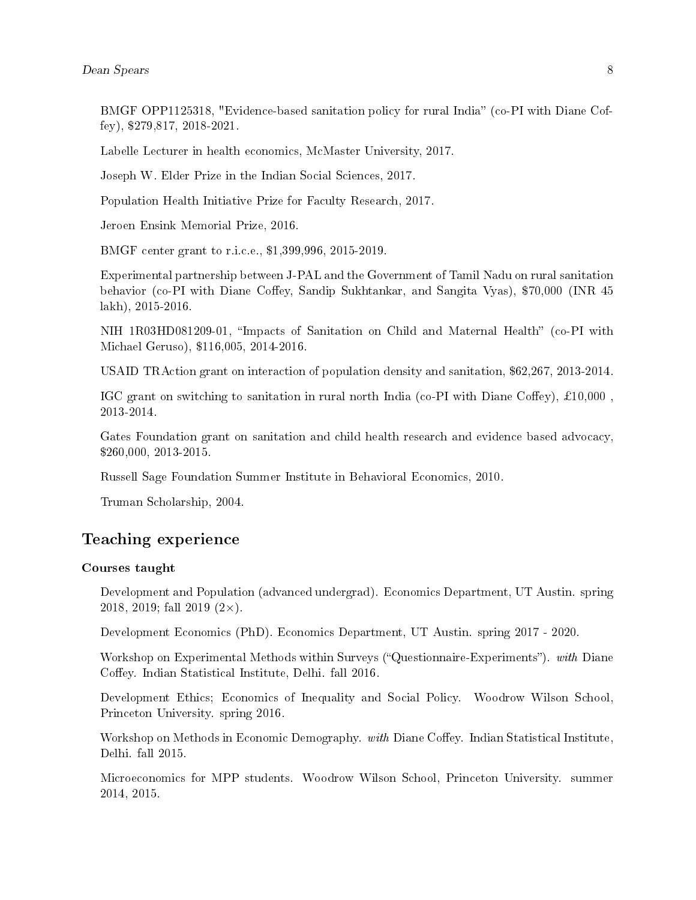BMGF OPP1125318, "Evidence-based sanitation policy for rural India" (co-PI with Diane Coffey), \$279,817, 2018-2021.

Labelle Lecturer in health economics, McMaster University, 2017.

Joseph W. Elder Prize in the Indian Social Sciences, 2017.

Population Health Initiative Prize for Faculty Research, 2017.

Jeroen Ensink Memorial Prize, 2016.

BMGF center grant to r.i.c.e., \$1,399,996, 2015-2019.

Experimental partnership between J-PAL and the Government of Tamil Nadu on rural sanitation behavior (co-PI with Diane Coffey, Sandip Sukhtankar, and Sangita Vyas), \$70,000 (INR 45 lakh), 2015-2016.

NIH 1R03HD081209-01, "Impacts of Sanitation on Child and Maternal Health" (co-PI with Michael Geruso), \$116,005, 2014-2016.

USAID TRAction grant on interaction of population density and sanitation, \$62,267, 2013-2014.

IGC grant on switching to sanitation in rural north India (co-PI with Diane Coffey),  $\pounds10,000$ , 2013-2014.

Gates Foundation grant on sanitation and child health research and evidence based advocacy, \$260,000, 2013-2015.

Russell Sage Foundation Summer Institute in Behavioral Economics, 2010.

Truman Scholarship, 2004.

# Teaching experience

#### Courses taught

Development and Population (advanced undergrad). Economics Department, UT Austin. spring 2018, 2019; fall 2019  $(2 \times)$ .

Development Economics (PhD). Economics Department, UT Austin. spring 2017 - 2020.

Workshop on Experimental Methods within Surveys ("Questionnaire-Experiments"). with Diane Coffey. Indian Statistical Institute, Delhi. fall 2016.

Development Ethics; Economics of Inequality and Social Policy. Woodrow Wilson School, Princeton University. spring 2016.

Workshop on Methods in Economic Demography. with Diane Coffey. Indian Statistical Institute, Delhi. fall 2015.

Microeconomics for MPP students. Woodrow Wilson School, Princeton University. summer 2014, 2015.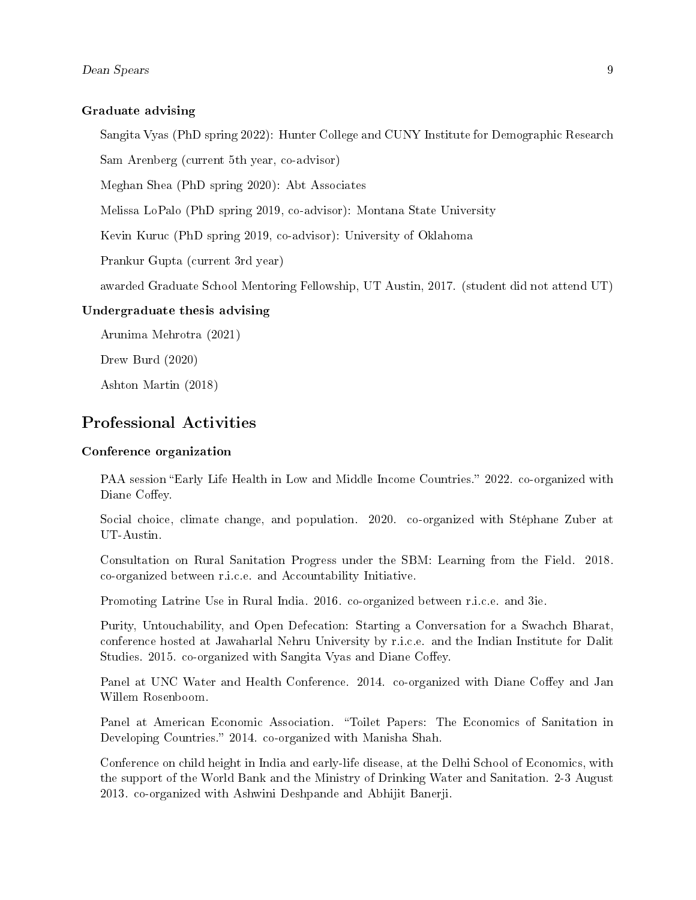#### Graduate advising

Sangita Vyas (PhD spring 2022): Hunter College and CUNY Institute for Demographic Research

Sam Arenberg (current 5th year, co-advisor)

Meghan Shea (PhD spring 2020): Abt Associates

Melissa LoPalo (PhD spring 2019, co-advisor): Montana State University

Kevin Kuruc (PhD spring 2019, co-advisor): University of Oklahoma

Prankur Gupta (current 3rd year)

awarded Graduate School Mentoring Fellowship, UT Austin, 2017. (student did not attend UT)

### Undergraduate thesis advising

Arunima Mehrotra (2021)

Drew Burd (2020)

Ashton Martin (2018)

## Professional Activities

#### Conference organization

PAA session "Early Life Health in Low and Middle Income Countries." 2022. co-organized with Diane Coffey.

Social choice, climate change, and population. 2020. co-organized with Stéphane Zuber at UT-Austin.

Consultation on Rural Sanitation Progress under the SBM: Learning from the Field. 2018. co-organized between r.i.c.e. and Accountability Initiative.

Promoting Latrine Use in Rural India. 2016. co-organized between r.i.c.e. and 3ie.

Purity, Untouchability, and Open Defecation: Starting a Conversation for a Swachch Bharat, conference hosted at Jawaharlal Nehru University by r.i.c.e. and the Indian Institute for Dalit Studies. 2015. co-organized with Sangita Vyas and Diane Coffey.

Panel at UNC Water and Health Conference. 2014. co-organized with Diane Coffey and Jan Willem Rosenboom.

Panel at American Economic Association. "Toilet Papers: The Economics of Sanitation in Developing Countries." 2014. co-organized with Manisha Shah.

Conference on child height in India and early-life disease, at the Delhi School of Economics, with the support of the World Bank and the Ministry of Drinking Water and Sanitation. 2-3 August 2013. co-organized with Ashwini Deshpande and Abhijit Banerji.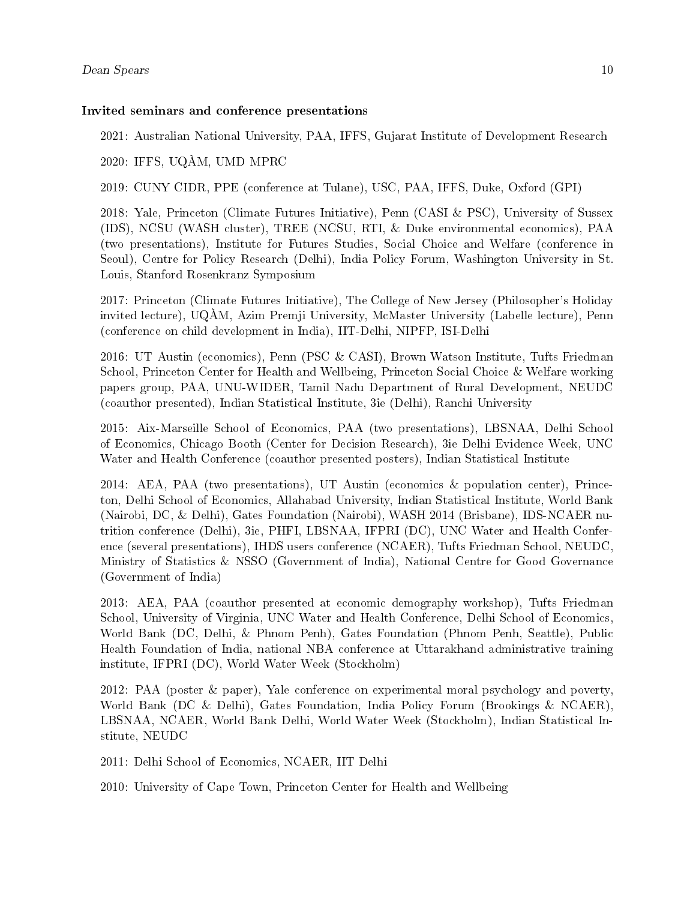#### Invited seminars and conference presentations

2021: Australian National University, PAA, IFFS, Gujarat Institute of Development Research

2020: IFFS, UQÀM, UMD MPRC

2019: CUNY CIDR, PPE (conference at Tulane), USC, PAA, IFFS, Duke, Oxford (GPI)

2018: Yale, Princeton (Climate Futures Initiative), Penn (CASI & PSC), University of Sussex (IDS), NCSU (WASH cluster), TREE (NCSU, RTI, & Duke environmental economics), PAA (two presentations), Institute for Futures Studies, Social Choice and Welfare (conference in Seoul), Centre for Policy Research (Delhi), India Policy Forum, Washington University in St. Louis, Stanford Rosenkranz Symposium

2017: Princeton (Climate Futures Initiative), The College of New Jersey (Philosopher's Holiday invited lecture), UQÀM, Azim Premji University, McMaster University (Labelle lecture), Penn (conference on child development in India), IIT-Delhi, NIPFP, ISI-Delhi

2016: UT Austin (economics), Penn (PSC & CASI), Brown Watson Institute, Tufts Friedman School, Princeton Center for Health and Wellbeing, Princeton Social Choice & Welfare working papers group, PAA, UNU-WIDER, Tamil Nadu Department of Rural Development, NEUDC (coauthor presented), Indian Statistical Institute, 3ie (Delhi), Ranchi University

2015: Aix-Marseille School of Economics, PAA (two presentations), LBSNAA, Delhi School of Economics, Chicago Booth (Center for Decision Research), 3ie Delhi Evidence Week, UNC Water and Health Conference (coauthor presented posters), Indian Statistical Institute

2014: AEA, PAA (two presentations), UT Austin (economics & population center), Princeton, Delhi School of Economics, Allahabad University, Indian Statistical Institute, World Bank (Nairobi, DC, & Delhi), Gates Foundation (Nairobi), WASH 2014 (Brisbane), IDS-NCAER nutrition conference (Delhi), 3ie, PHFI, LBSNAA, IFPRI (DC), UNC Water and Health Conference (several presentations), IHDS users conference (NCAER), Tufts Friedman School, NEUDC, Ministry of Statistics & NSSO (Government of India), National Centre for Good Governance (Government of India)

2013: AEA, PAA (coauthor presented at economic demography workshop), Tufts Friedman School, University of Virginia, UNC Water and Health Conference, Delhi School of Economics, World Bank (DC, Delhi, & Phnom Penh), Gates Foundation (Phnom Penh, Seattle), Public Health Foundation of India, national NBA conference at Uttarakhand administrative training institute, IFPRI (DC), World Water Week (Stockholm)

2012: PAA (poster & paper), Yale conference on experimental moral psychology and poverty, World Bank (DC & Delhi), Gates Foundation, India Policy Forum (Brookings & NCAER), LBSNAA, NCAER, World Bank Delhi, World Water Week (Stockholm), Indian Statistical Institute, NEUDC

2011: Delhi School of Economics, NCAER, IIT Delhi

2010: University of Cape Town, Princeton Center for Health and Wellbeing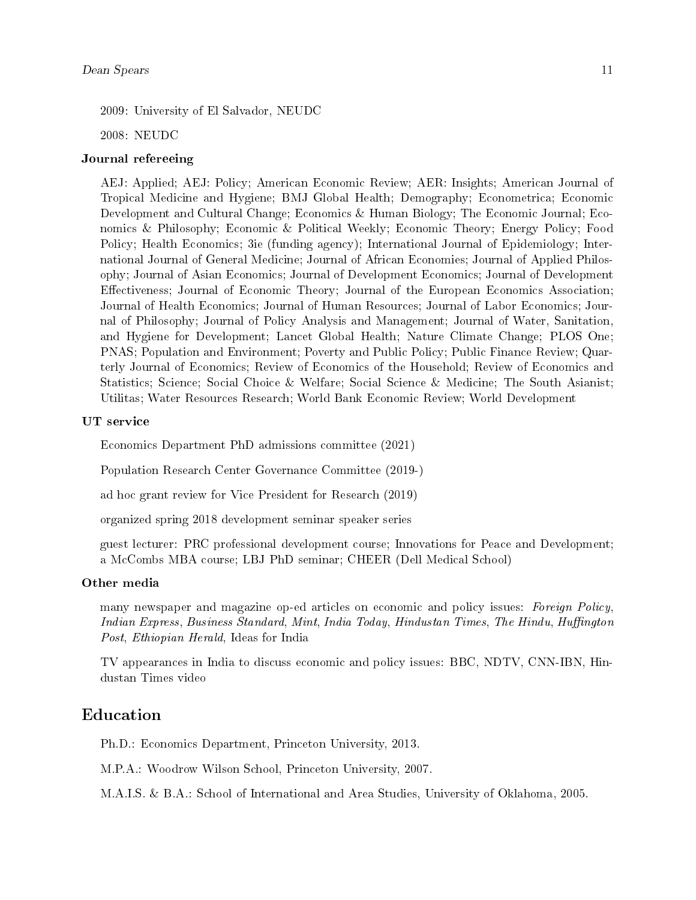2009: University of El Salvador, NEUDC

2008: NEUDC

#### Journal refereeing

AEJ: Applied; AEJ: Policy; American Economic Review; AER: Insights; American Journal of Tropical Medicine and Hygiene; BMJ Global Health; Demography; Econometrica; Economic Development and Cultural Change; Economics & Human Biology; The Economic Journal; Economics & Philosophy; Economic & Political Weekly; Economic Theory; Energy Policy; Food Policy; Health Economics; 3ie (funding agency); International Journal of Epidemiology; International Journal of General Medicine; Journal of African Economies; Journal of Applied Philosophy; Journal of Asian Economics; Journal of Development Economics; Journal of Development Effectiveness; Journal of Economic Theory; Journal of the European Economics Association; Journal of Health Economics; Journal of Human Resources; Journal of Labor Economics; Journal of Philosophy; Journal of Policy Analysis and Management; Journal of Water, Sanitation, and Hygiene for Development; Lancet Global Health; Nature Climate Change; PLOS One; PNAS; Population and Environment; Poverty and Public Policy; Public Finance Review; Quarterly Journal of Economics; Review of Economics of the Household; Review of Economics and Statistics; Science; Social Choice & Welfare; Social Science & Medicine; The South Asianist; Utilitas; Water Resources Research; World Bank Economic Review; World Development

#### UT service

Economics Department PhD admissions committee (2021)

Population Research Center Governance Committee (2019-)

ad hoc grant review for Vice President for Research (2019)

organized spring 2018 development seminar speaker series

guest lecturer: PRC professional development course; Innovations for Peace and Development; a McCombs MBA course; LBJ PhD seminar; CHEER (Dell Medical School)

#### Other media

many newspaper and magazine op-ed articles on economic and policy issues: Foreign Policy, Indian Express, Business Standard, Mint, India Today, Hindustan Times, The Hindu, Huffington Post, Ethiopian Herald, Ideas for India

TV appearances in India to discuss economic and policy issues: BBC, NDTV, CNN-IBN, Hindustan Times video

### Education

Ph.D.: Economics Department, Princeton University, 2013.

M.P.A.: Woodrow Wilson School, Princeton University, 2007.

M.A.I.S. & B.A.: School of International and Area Studies, University of Oklahoma, 2005.